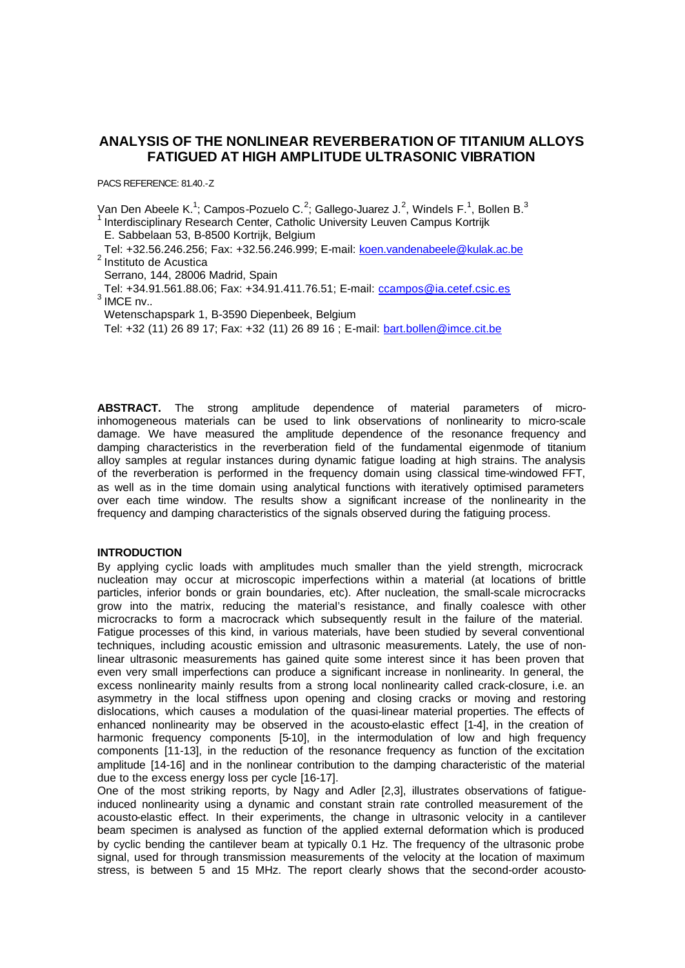# **ANALYSIS OF THE NONLINEAR REVERBERATION OF TITANIUM ALLOYS FATIGUED AT HIGH AMPLITUDE ULTRASONIC VIBRATION**

PACS REFERENCE: 81.40.-Z

Van Den Abeele K.<sup>1</sup>; Campos-Pozuelo C.<sup>2</sup>; Gallego-Juarez J.<sup>2</sup>, Windels F.<sup>1</sup>, Bollen B.<sup>3</sup> <sup>1</sup>Interdisciplinary Research Center, Catholic University Leuven Campus Kortrijk

- E. Sabbelaan 53, B-8500 Kortrijk, Belgium
- Tel: +32.56.246.256; Fax: +32.56.246.999; E-mail: koen.vandenabeele@kulak.ac.be <sup>2</sup> Instituto de Acustica

Serrano, 144, 28006 Madrid, Spain

 Tel: +34.91.561.88.06; Fax: +34.91.411.76.51; E-mail: ccampos@ia.cetef.csic.es  $3$  IMCE nv..

Wetenschapspark 1, B-3590 Diepenbeek, Belgium

Tel: +32 (11) 26 89 17; Fax: +32 (11) 26 89 16 ; E-mail: bart.bollen@imce.cit.be

**ABSTRACT.** The strong amplitude dependence of material parameters of microinhomogeneous materials can be used to link observations of nonlinearity to micro-scale damage. We have measured the amplitude dependence of the resonance frequency and damping characteristics in the reverberation field of the fundamental eigenmode of titanium alloy samples at regular instances during dynamic fatigue loading at high strains. The analysis of the reverberation is performed in the frequency domain using classical time-windowed FFT, as well as in the time domain using analytical functions with iteratively optimised parameters over each time window. The results show a significant increase of the nonlinearity in the frequency and damping characteristics of the signals observed during the fatiguing process.

## **INTRODUCTION**

By applying cyclic loads with amplitudes much smaller than the yield strength, microcrack nucleation may occur at microscopic imperfections within a material (at locations of brittle particles, inferior bonds or grain boundaries, etc). After nucleation, the small-scale microcracks grow into the matrix, reducing the material's resistance, and finally coalesce with other microcracks to form a macrocrack which subsequently result in the failure of the material. Fatigue processes of this kind, in various materials, have been studied by several conventional techniques, including acoustic emission and ultrasonic measurements. Lately, the use of nonlinear ultrasonic measurements has gained quite some interest since it has been proven that even very small imperfections can produce a significant increase in nonlinearity. In general, the excess nonlinearity mainly results from a strong local nonlinearity called crack-closure, i.e. an asymmetry in the local stiffness upon opening and closing cracks or moving and restoring dislocations, which causes a modulation of the quasi-linear material properties. The effects of enhanced nonlinearity may be observed in the acousto-elastic effect [1-4], in the creation of harmonic frequency components [5-10], in the intermodulation of low and high frequency components [11-13], in the reduction of the resonance frequency as function of the excitation amplitude [14-16] and in the nonlinear contribution to the damping characteristic of the material due to the excess energy loss per cycle [16-17].

One of the most striking reports, by Nagy and Adler [2,3], illustrates observations of fatigueinduced nonlinearity using a dynamic and constant strain rate controlled measurement of the acousto-elastic effect. In their experiments, the change in ultrasonic velocity in a cantilever beam specimen is analysed as function of the applied external deformation which is produced by cyclic bending the cantilever beam at typically 0.1 Hz. The frequency of the ultrasonic probe signal, used for through transmission measurements of the velocity at the location of maximum stress, is between 5 and 15 MHz. The report clearly shows that the second-order acousto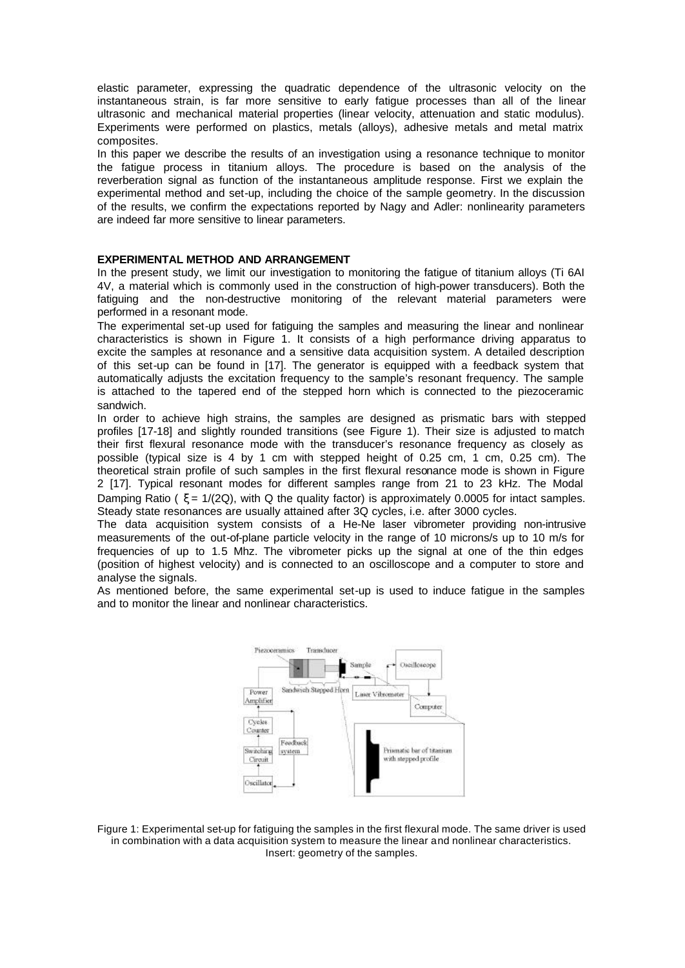elastic parameter, expressing the quadratic dependence of the ultrasonic velocity on the instantaneous strain, is far more sensitive to early fatigue processes than all of the linear ultrasonic and mechanical material properties (linear velocity, attenuation and static modulus). Experiments were performed on plastics, metals (alloys), adhesive metals and metal matrix composites.

In this paper we describe the results of an investigation using a resonance technique to monitor the fatigue process in titanium alloys. The procedure is based on the analysis of the reverberation signal as function of the instantaneous amplitude response. First we explain the experimental method and set-up, including the choice of the sample geometry. In the discussion of the results, we confirm the expectations reported by Nagy and Adler: nonlinearity parameters are indeed far more sensitive to linear parameters.

### **EXPERIMENTAL METHOD AND ARRANGEMENT**

In the present study, we limit our investigation to monitoring the fatigue of titanium alloys (Ti 6AI 4V, a material which is commonly used in the construction of high-power transducers). Both the fatiguing and the non-destructive monitoring of the relevant material parameters were performed in a resonant mode.

The experimental set-up used for fatiguing the samples and measuring the linear and nonlinear characteristics is shown in Figure 1. It consists of a high performance driving apparatus to excite the samples at resonance and a sensitive data acquisition system. A detailed description of this set-up can be found in [17]. The generator is equipped with a feedback system that automatically adjusts the excitation frequency to the sample's resonant frequency. The sample is attached to the tapered end of the stepped horn which is connected to the piezoceramic sandwich.

In order to achieve high strains, the samples are designed as prismatic bars with stepped profiles [17-18] and slightly rounded transitions (see Figure 1). Their size is adjusted to match their first flexural resonance mode with the transducer's resonance frequency as closely as possible (typical size is 4 by 1 cm with stepped height of 0.25 cm, 1 cm, 0.25 cm). The theoretical strain profile of such samples in the first flexural resonance mode is shown in Figure 2 [17]. Typical resonant modes for different samples range from 21 to 23 kHz. The Modal Damping Ratio (  $\xi = \frac{1}{2Q}$ ), with Q the quality factor) is approximately 0.0005 for intact samples. Steady state resonances are usually attained after 3Q cycles, i.e. after 3000 cycles.

The data acquisition system consists of a He-Ne laser vibrometer providing non-intrusive measurements of the out-of-plane particle velocity in the range of 10 microns/s up to 10 m/s for frequencies of up to 1.5 Mhz. The vibrometer picks up the signal at one of the thin edges (position of highest velocity) and is connected to an oscilloscope and a computer to store and analyse the signals.

As mentioned before, the same experimental set-up is used to induce fatigue in the samples and to monitor the linear and nonlinear characteristics.



Figure 1: Experimental set-up for fatiguing the samples in the first flexural mode. The same driver is used in combination with a data acquisition system to measure the linear and nonlinear characteristics. Insert: geometry of the samples.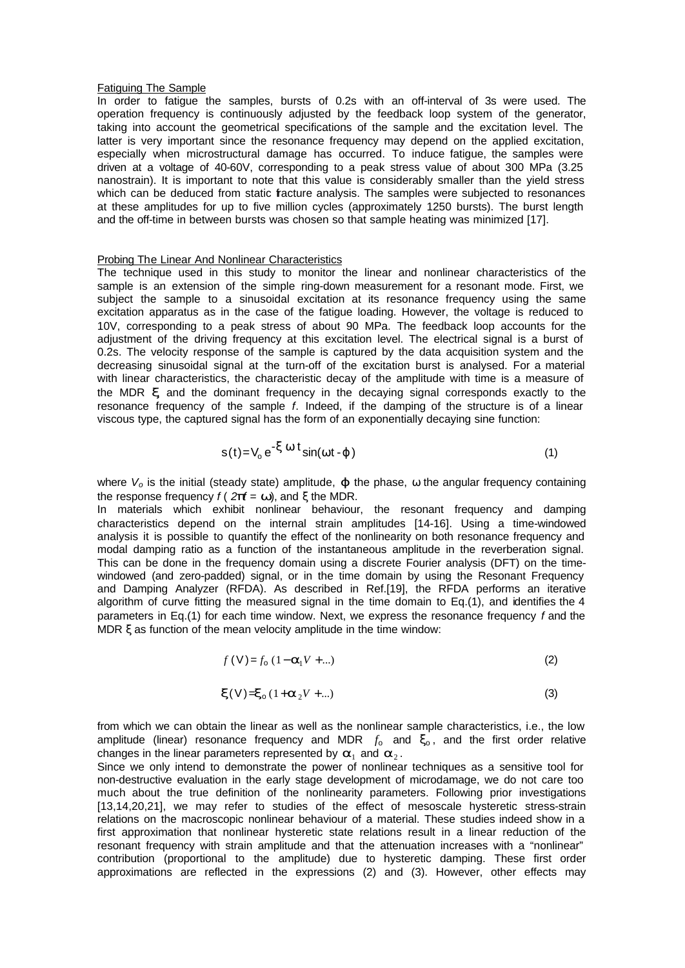#### Fatiguing The Sample

In order to fatigue the samples, bursts of 0.2s with an off-interval of 3s were used. The operation frequency is continuously adjusted by the feedback loop system of the generator, taking into account the geometrical specifications of the sample and the excitation level. The latter is very important since the resonance frequency may depend on the applied excitation, especially when microstructural damage has occurred. To induce fatigue, the samples were driven at a voltage of 40-60V, corresponding to a peak stress value of about 300 MPa (3.25 nanostrain). It is important to note that this value is considerably smaller than the yield stress which can be deduced from static fracture analysis. The samples were subjected to resonances at these amplitudes for up to five million cycles (approximately 1250 bursts). The burst length and the off-time in between bursts was chosen so that sample heating was minimized [17].

### Probing The Linear And Nonlinear Characteristics

The technique used in this study to monitor the linear and nonlinear characteristics of the sample is an extension of the simple ring-down measurement for a resonant mode. First, we subject the sample to a sinusoidal excitation at its resonance frequency using the same excitation apparatus as in the case of the fatigue loading. However, the voltage is reduced to 10V, corresponding to a peak stress of about 90 MPa. The feedback loop accounts for the adjustment of the driving frequency at this excitation level. The electrical signal is a burst of 0.2s. The velocity response of the sample is captured by the data acquisition system and the decreasing sinusoidal signal at the turn-off of the excitation burst is analysed. For a material with linear characteristics, the characteristic decay of the amplitude with time is a measure of the MDR *x*, and the dominant frequency in the decaying signal corresponds exactly to the resonance frequency of the sample *f*. Indeed, if the damping of the structure is of a linear viscous type, the captured signal has the form of an exponentially decaying sine function:

$$
s(t) = V_0 e^{-X W t} \sin(wt - j)
$$
 (1)

where *Vo* is the initial (steady state) amplitude, *j* the phase, ω the angular frequency containing the response frequency  $f(2p\mathbf{f} = \mathbf{w})$ , and  $\xi$  the MDR.

In materials which exhibit nonlinear behaviour, the resonant frequency and damping characteristics depend on the internal strain amplitudes [14-16]. Using a time-windowed analysis it is possible to quantify the effect of the nonlinearity on both resonance frequency and modal damping ratio as a function of the instantaneous amplitude in the reverberation signal. This can be done in the frequency domain using a discrete Fourier analysis (DFT) on the timewindowed (and zero-padded) signal, or in the time domain by using the Resonant Frequency and Damping Analyzer (RFDA). As described in Ref.[19], the RFDA performs an iterative algorithm of curve fitting the measured signal in the time domain to Eq.(1), and identifies the 4 parameters in Eq.(1) for each time window. Next, we express the resonance frequency *f* and the MDR ξ as function of the mean velocity amplitude in the time window:

$$
f(V) = f_0 (1 - \mathbf{a}_1 V + \dots)
$$
 (2)

$$
\mathbf{x}(\vee)=\mathbf{x}_0(1+\mathbf{a}_2V+\ldots)
$$
 (3)

from which we can obtain the linear as well as the nonlinear sample characteristics, i.e., the low amplitude (linear) resonance frequency and MDR  $f_0$  and  $\mathbf{x}_0$ , and the first order relative changes in the linear parameters represented by  $a_1$  and  $a_2$ .

Since we only intend to demonstrate the power of nonlinear techniques as a sensitive tool for non-destructive evaluation in the early stage development of microdamage, we do not care too much about the true definition of the nonlinearity parameters. Following prior investigations [13,14,20,21], we may refer to studies of the effect of mesoscale hysteretic stress-strain relations on the macroscopic nonlinear behaviour of a material. These studies indeed show in a first approximation that nonlinear hysteretic state relations result in a linear reduction of the resonant frequency with strain amplitude and that the attenuation increases with a "nonlinear" contribution (proportional to the amplitude) due to hysteretic damping. These first order approximations are reflected in the expressions (2) and (3). However, other effects may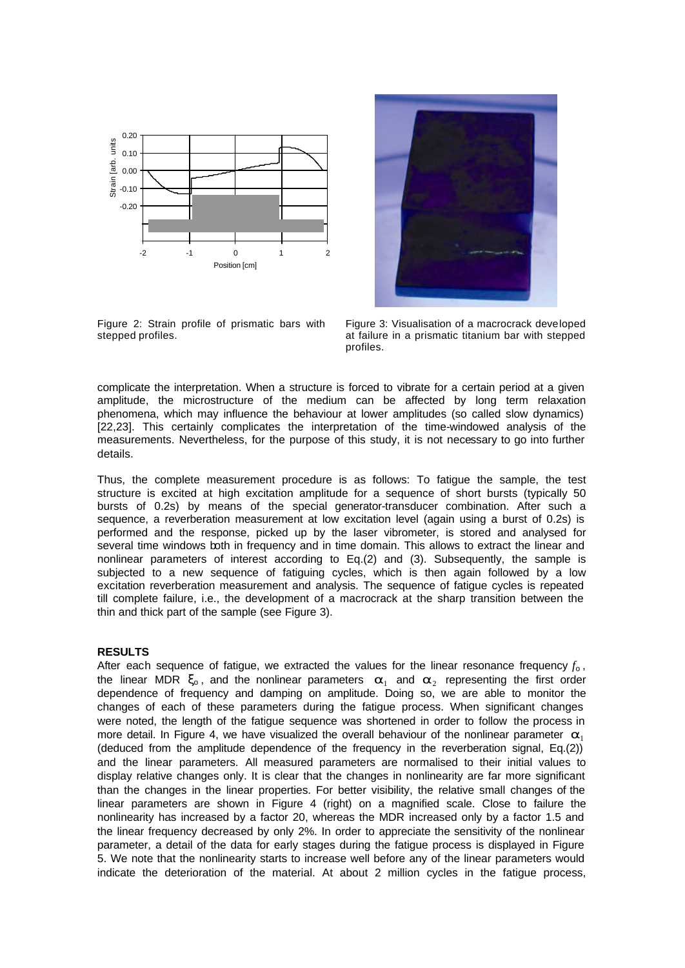



Figure 2: Strain profile of prismatic bars with stepped profiles.

Figure 3: Visualisation of a macrocrack developed at failure in a prismatic titanium bar with stepped profiles.

complicate the interpretation. When a structure is forced to vibrate for a certain period at a given amplitude, the microstructure of the medium can be affected by long term relaxation phenomena, which may influence the behaviour at lower amplitudes (so called slow dynamics) [22,23]. This certainly complicates the interpretation of the time-windowed analysis of the measurements. Nevertheless, for the purpose of this study, it is not necessary to go into further details.

Thus, the complete measurement procedure is as follows: To fatigue the sample, the test structure is excited at high excitation amplitude for a sequence of short bursts (typically 50 bursts of 0.2s) by means of the special generator-transducer combination. After such a sequence, a reverberation measurement at low excitation level (again using a burst of 0.2s) is performed and the response, picked up by the laser vibrometer, is stored and analysed for several time windows both in frequency and in time domain. This allows to extract the linear and nonlinear parameters of interest according to Eq.(2) and (3). Subsequently, the sample is subjected to a new sequence of fatiguing cycles, which is then again followed by a low excitation reverberation measurement and analysis. The sequence of fatigue cycles is repeated till complete failure, i.e., the development of a macrocrack at the sharp transition between the thin and thick part of the sample (see Figure 3).

#### **RESULTS**

After each sequence of fatigue, we extracted the values for the linear resonance frequency *f*<sup>o</sup> , the linear MDR  $x_0$ , and the nonlinear parameters  $a_1$  and  $a_2$  representing the first order dependence of frequency and damping on amplitude. Doing so, we are able to monitor the changes of each of these parameters during the fatigue process. When significant changes were noted, the length of the fatigue sequence was shortened in order to follow the process in more detail. In Figure 4, we have visualized the overall behaviour of the nonlinear parameter  $a_1$ (deduced from the amplitude dependence of the frequency in the reverberation signal, Eq.(2)) and the linear parameters. All measured parameters are normalised to their initial values to display relative changes only. It is clear that the changes in nonlinearity are far more significant than the changes in the linear properties. For better visibility, the relative small changes of the linear parameters are shown in Figure 4 (right) on a magnified scale. Close to failure the nonlinearity has increased by a factor 20, whereas the MDR increased only by a factor 1.5 and the linear frequency decreased by only 2%. In order to appreciate the sensitivity of the nonlinear parameter, a detail of the data for early stages during the fatigue process is displayed in Figure 5. We note that the nonlinearity starts to increase well before any of the linear parameters would indicate the deterioration of the material. At about 2 million cycles in the fatigue process,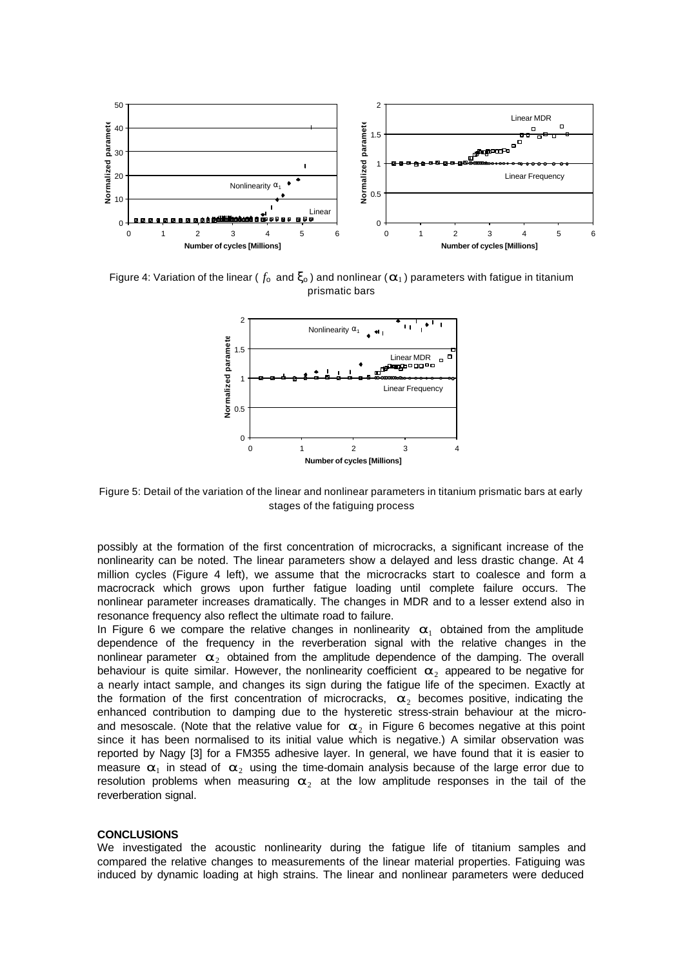

Figure 4: Variation of the linear ( $f_0$  and  $\mathbf{x}_0$ ) and nonlinear ( $\mathbf{a}_1$ ) parameters with fatigue in titanium prismatic bars



Figure 5: Detail of the variation of the linear and nonlinear parameters in titanium prismatic bars at early stages of the fatiguing process

possibly at the formation of the first concentration of microcracks, a significant increase of the nonlinearity can be noted. The linear parameters show a delayed and less drastic change. At 4 million cycles (Figure 4 left), we assume that the microcracks start to coalesce and form a macrocrack which grows upon further fatigue loading until complete failure occurs. The nonlinear parameter increases dramatically. The changes in MDR and to a lesser extend also in resonance frequency also reflect the ultimate road to failure.

In Figure 6 we compare the relative changes in nonlinearity  $a_1$  obtained from the amplitude dependence of the frequency in the reverberation signal with the relative changes in the nonlinear parameter  $a_2$  obtained from the amplitude dependence of the damping. The overall behaviour is quite similar. However, the nonlinearity coefficient  $a_2$  appeared to be negative for a nearly intact sample, and changes its sign during the fatigue life of the specimen. Exactly at the formation of the first concentration of microcracks,  $\overline{a}_2$  becomes positive, indicating the enhanced contribution to damping due to the hysteretic stress-strain behaviour at the microand mesoscale. (Note that the relative value for  $\mathbf{a}_2$  in Figure 6 becomes negative at this point since it has been normalised to its initial value which is negative.) A similar observation was reported by Nagy [3] for a FM355 adhesive layer. In general, we have found that it is easier to measure  $a_1$  in stead of  $a_2$  using the time-domain analysis because of the large error due to resolution problems when measuring  $a_2$  at the low amplitude responses in the tail of the reverberation signal.

#### **CONCLUSIONS**

We investigated the acoustic nonlinearity during the fatigue life of titanium samples and compared the relative changes to measurements of the linear material properties. Fatiguing was induced by dynamic loading at high strains. The linear and nonlinear parameters were deduced